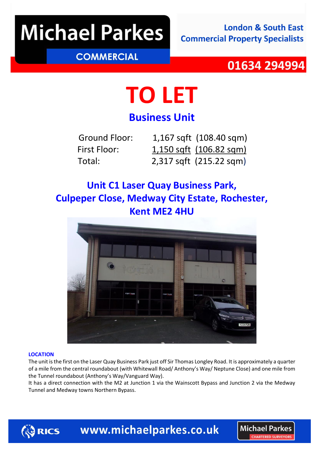## **Michael Parkes**

### **COMMERCIAL**

### 01634 294994

**Michael Parkes** CHARTERED SURVEYO

# **TO LET**

### **Business Unit**

| Ground Floor: | 1,167 sqft (108.40 sqm)        |
|---------------|--------------------------------|
| First Floor:  | $1,150$ sqft $(106.82$ sqm $)$ |
| Total:        | 2,317 sqft (215.22 sqm)        |

### **Unit C1 Laser Quay Business Park, Culpeper Close, Medway City Estate, Rochester, Kent ME2 4HU**



#### **LOCATION**

The unit is the first on the Laser Quay Business Park just off Sir Thomas Longley Road. It is approximately a quarter of a mile from the central roundabout (with Whitewall Road/ Anthony's Way/ Neptune Close) and one mile from the Tunnel roundabout (Anthony's Way/Vanguard Way).

It has a direct connection with the M2 at Junction 1 via the Wainscott Bypass and Junction 2 via the Medway Tunnel and Medway towns Northern Bypass.

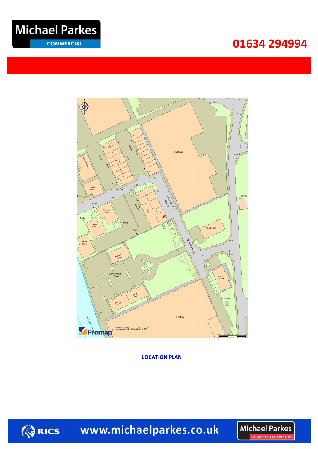### **034 29499401634 294994**





**LOCATION PLAN**



www.michaelparkes.co.uk

**Michael Parkes CHARTERED SURVEYORS**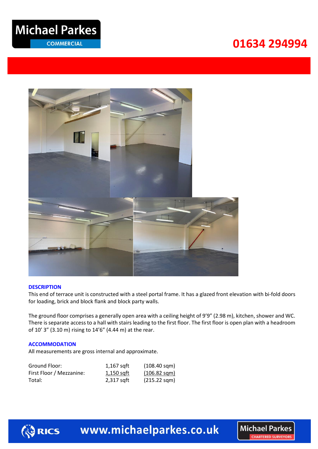## **Michael Parkes**

**COMMERCIAL** 

### **034 29499401634 294994**



#### **DESCRIPTION**

This end of terrace unit is constructed with a steel portal frame. It has a glazed front elevation with bi-fold doors for loading, brick and block flank and block party walls.

The ground floor comprises a generally open area with a ceiling height of 9'9" (2.98 m), kitchen, shower and WC. There is separate access to a hall with stairs leading to the first floor. The first floor is open plan with a headroom of 10' 3" (3.10 m) rising to 14'6" (4.44 m) at the rear.

#### **ACCOMMODATION**

All measurements are gross internal and approximate.

| Ground Floor:            | 1,167 sqft | $(108.40 \text{ sqm})$ |
|--------------------------|------------|------------------------|
| First Floor / Mezzanine: | 1,150 sqft | $(106.82 \text{ sgm})$ |
| Total:                   | 2,317 sqft | $(215.22 \text{ sqm})$ |



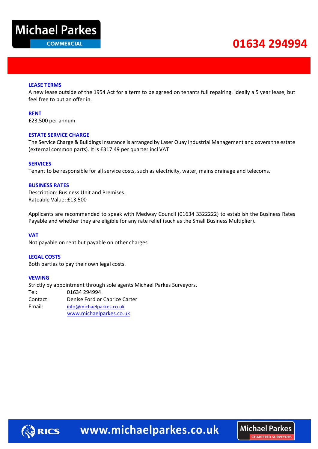

### **034 29499401634 294994**

**Michael Parkes** 

CHAPTERED SHIPVEYORS

#### **LEASE TERMS**

A new lease outside of the 1954 Act for a term to be agreed on tenants full repairing. Ideally a 5 year lease, but feel free to put an offer in.

**RENT**

£23,500 per annum

#### **ESTATE SERVICE CHARGE**

The Service Charge & Buildings Insurance is arranged by Laser Quay Industrial Management and covers the estate (external common parts). It is £317.49 per quarter incl VAT

#### **SERVICES**

Tenant to be responsible for all service costs, such as electricity, water, mains drainage and telecoms.

#### **BUSINESS RATES**

Description: Business Unit and Premises. Rateable Value: £13,500

Applicants are recommended to speak with Medway Council (01634 3322222) to establish the Business Rates Payable and whether they are eligible for any rate relief (such as the Small Business Multiplier).

#### **VAT**

Not payable on rent but payable on other charges.

#### **LEGAL COSTS**

Both parties to pay their own legal costs.

#### **VEWING**

Strictly by appointment through sole agents Michael Parkes Surveyors. Tel: 01634 294994 Contact: Denise Ford or Caprice Carter Email: [info@michaelparkes.co.uk](mailto:info@michaelparkes.co.uk) [www.michaelparkes.co.uk](http://www.michaelparkes.co.uk/) 

**ORICS**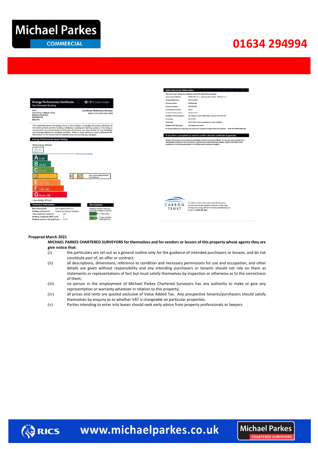

**COMMERCIAL** 

### **034 29499401634 294994**

**Michael Parkes** 

**CHARTERED SURVEYORS** 



#### **Prepared March 2021**

#### **MICHAEL PARKES CHARTERED SURVEYORS for themselves and for vendors or lessors of this property whose agents they are give notice that:**

- (i) the particulars are set out as a general outline only for the guidance of intended purchasers or lessees, and do not constitute part of, an offer or contract;
- (ii) all descriptions, dimensions, reference to condition and necessary permissions for use and occupation, and other details are given without responsibility and any intending purchasers or tenants should not rely on them as statements or representations of fact but must satisfy themselves by inspection or otherwise as to the correctness of them;
- (iii) no person in the employment of Michael Parkes Chartered Surveyors has any authority to make or give any representation or warranty whatever in relation to this property;
- (iv) all prices and rents are quoted exclusive of Value Added Tax. Any prospective tenants/purchasers should satisfy themselves by enquiry as to whether VAT is chargeable on particular properties.
- (v) Parties intending to enter into leases should seek early advice from property professionals or lawyers.